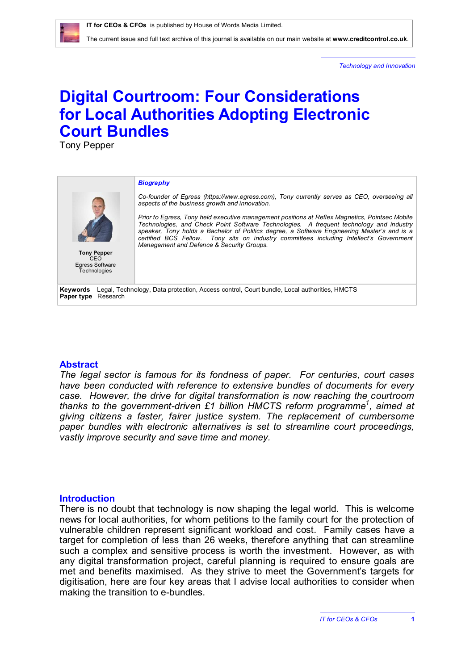The current issue and full text archive of this journal is available on our main website at **[www.creditcontrol.co.uk](http://www.creditcontrol.co.uk)**.

*Technology and Innovation*

# **Digital Courtroom: Four Considerations for Local Authorities Adopting Electronic Court Bundles**

Tony Pepper

#### *Biography*



**Tony Pepper** CEO Egress Software Technologies

*Co-founder of Egress [\(https://www.egress.com](https://www.egress.com)), Tony currently serves as CEO, overseeing all aspects of the business growth and innovation.*

*Prior to Egress, Tony held executive management positions at Reflex Magnetics, Pointsec Mobile Technologies, and Check Point Software Technologies. A frequent technology and industry speaker, Tony holds a Bachelor of Politics degree, a Software Engineering Master's and is a certified BCS Fellow. Tony sits on industry committees including Intellect's Government Management and Defence & Security Groups.*

**Keywords** Legal, Technology, Data protection, Access control, Court bundle, Local authorities, HMCTS **Paper type** Research

#### **Abstract**

*The legal sector is famous for its fondness of paper. For centuries, court cases have been conducted with reference to extensive bundles of documents for every case. However, the drive for digital transformation is now reaching the courtroom*  thanks to the government-driven £1 billion HMCTS reform programme<sup>1</sup>, aimed at *giving citizens a faster, fairer justice system. The replacement of cumbersome paper bundles with electronic alternatives is set to streamline court proceedings, vastly improve security and save time and money.*

#### **Introduction**

There is no doubt that technology is now shaping the legal world. This is welcome news for local authorities, for whom petitions to the family court for the protection of vulnerable children represent significant workload and cost. Family cases have a target for completion of less than 26 weeks, therefore anything that can streamline such a complex and sensitive process is worth the investment. However, as with any digital transformation project, careful planning is required to ensure goals are met and benefits maximised. As they strive to meet the Government's targets for digitisation, here are four key areas that I advise local authorities to consider when making the transition to e-bundles.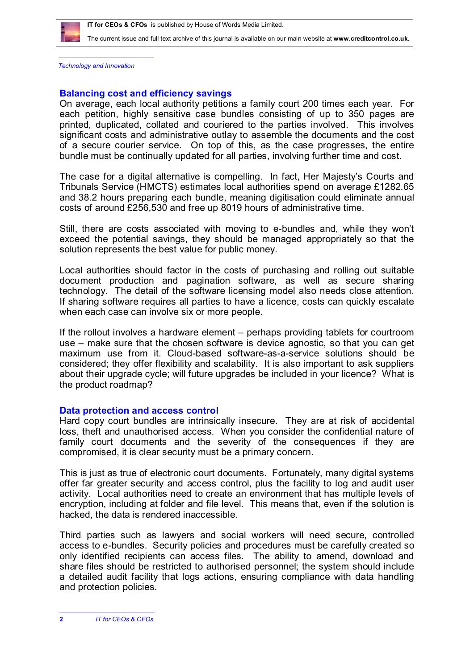

The current issue and full text archive of this journal is available on our main website at **[www.creditcontrol.co.uk](http://www.creditcontrol.co.uk)**.

*Technology and Innovation*

## **Balancing cost and efficiency savings**

On average, each local authority petitions a family court 200 times each year. For each petition, highly sensitive case bundles consisting of up to 350 pages are printed, duplicated, collated and couriered to the parties involved. This involves significant costs and administrative outlay to assemble the documents and the cost of a secure courier service. On top of this, as the case progresses, the entire bundle must be continually updated for all parties, involving further time and cost.

The case for a digital alternative is compelling. In fact, Her Majesty's Courts and Tribunals Service (HMCTS) estimates local authorities spend on average £1282.65 and 38.2 hours preparing each bundle, meaning digitisation could eliminate annual costs of around £256,530 and free up 8019 hours of administrative time.

Still, there are costs associated with moving to e-bundles and, while they won't exceed the potential savings, they should be managed appropriately so that the solution represents the best value for public money.

Local authorities should factor in the costs of purchasing and rolling out suitable document production and pagination software, as well as secure sharing technology. The detail of the software licensing model also needs close attention. If sharing software requires all parties to have a licence, costs can quickly escalate when each case can involve six or more people.

If the rollout involves a hardware element – perhaps providing tablets for courtroom use – make sure that the chosen software is device agnostic, so that you can get maximum use from it. Cloud-based software-as-a-service solutions should be considered; they offer flexibility and scalability. It is also important to ask suppliers about their upgrade cycle; will future upgrades be included in your licence? What is the product roadmap?

## **Data protection and access control**

Hard copy court bundles are intrinsically insecure. They are at risk of accidental loss, theft and unauthorised access. When you consider the confidential nature of family court documents and the severity of the consequences if they are compromised, it is clear security must be a primary concern.

This is just as true of electronic court documents. Fortunately, many digital systems offer far greater security and access control, plus the facility to log and audit user activity. Local authorities need to create an environment that has multiple levels of encryption, including at folder and file level. This means that, even if the solution is hacked, the data is rendered inaccessible.

Third parties such as lawyers and social workers will need secure, controlled access to e-bundles. Security policies and procedures must be carefully created so only identified recipients can access files. The ability to amend, download and share files should be restricted to authorised personnel; the system should include a detailed audit facility that logs actions, ensuring compliance with data handling and protection policies.